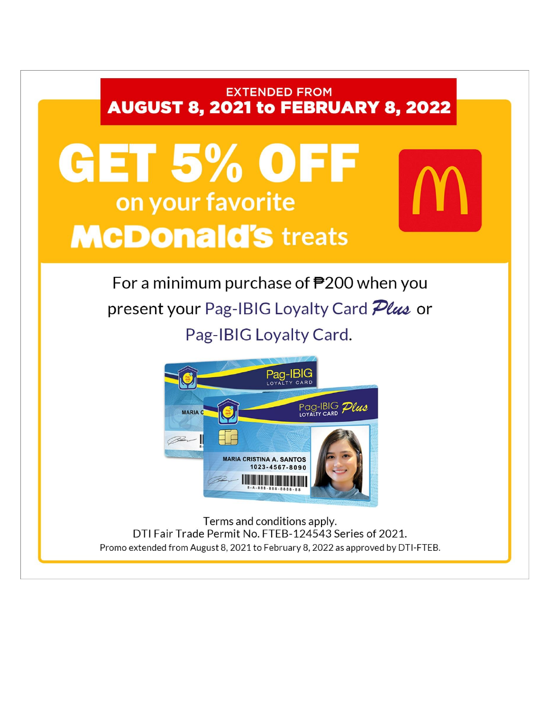## **EXTENDED FROM AUGUST 8, 2021 to FEBRUARY 8, 2022**

# GET 5% OFF on your favorite **McDonald's treats**

For a minimum purchase of  $\overline{P}200$  when you present your Pag-IBIG Loyalty Card *Plus* or Pag-IBIG Loyalty Card.



Terms and conditions apply. DTI Fair Trade Permit No. FTEB-124543 Series of 2021. Promo extended from August 8, 2021 to February 8, 2022 as approved by DTI-FTEB.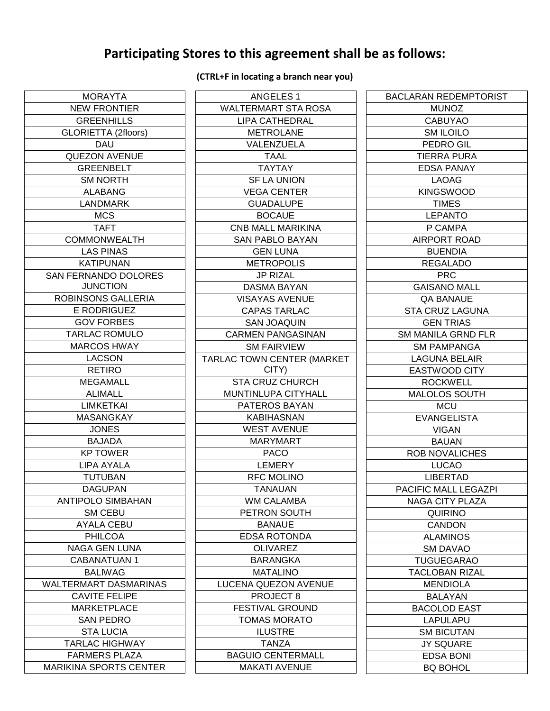### **Participating Stores to this agreement shall be as follows:**

#### MORAYTA NEW FRONTIER **GREENHILLS** GLORIETTA (2floors) DAU QUEZON AVENUE **GREENBELT** SM NORTH ALABANG LANDMARK MCS TAFT COMMONWEALTH LAS PINAS KATIPUNAN SAN FERNANDO DOLORES **JUNCTION** ROBINSONS GALLERIA E RODRIGUEZ GOV FORBES TARLAC ROMULO MARCOS HWAY LACSON RETIRO MEGAMALL ALIMALL LIMKETKAI MASANGKAY JONES BAJADA KP TOWER LIPA AYALA TUTUBAN DAGUPAN ANTIPOLO SIMBAHAN SM CEBU AYALA CEBU PHILCOA NAGA GEN LUNA CABANATUAN 1 BALIWAG WALTERMART DASMARINAS CAVITE FELIPE MARKETPLACE SAN PEDRO STA LUCIA TARLAC HIGHWAY FARMERS PLAZA MARIKINA SPORTS CENTER

**(CTRL+F in locating a branch near you)**

| <b>ANGELES 1</b>           |
|----------------------------|
| <b>WALTERMART STA ROSA</b> |
| <b>LIPA CATHEDRAL</b>      |
| <b>METROLANE</b>           |
| VALENZUELA                 |
| <b>TAAL</b>                |
| <b>TAYTAY</b>              |
| <b>SF LA UNION</b>         |
| VEGA CENTER                |
| <b>GUADALUPE</b>           |
| <b>BOCAUE</b>              |
| <b>CNB MALL MARIKINA</b>   |
| <b>SAN PABLO BAYAN</b>     |
| GEN LUNA                   |
| <b>METROPOLIS</b>          |
| <b>JP RIZAL</b>            |
|                            |
| DASMA BAYAN                |
| VISAYAS AVENUE             |
| <b>CAPAS TARLAC</b>        |
| <b>SAN JOAQUIN</b>         |
| <b>CARMEN PANGASINAN</b>   |
| <b>SM FAIRVIEW</b>         |
| TARLAC TOWN CENTER (MARKET |
| CITY)                      |
| <b>STA CRUZ CHURCH</b>     |
| MUNTINLUPA CITYHALL        |
| PATEROS BAYAN              |
| KABIHASNAN                 |
| <b>WEST AVENUE</b>         |
| <b>MARYMART</b>            |
| <b>PACO</b>                |
| LEMERY                     |
| RFC MOLINO                 |
| TANAUAN                    |
| <b>WM CALAMBA</b>          |
| PETRON SOUTH               |
| <b>BANAUE</b>              |
| <b>EDSA ROTONDA</b>        |
| <b>OLIVAREZ</b>            |
| <b>BARANGKA</b>            |
| <b>MATALINO</b>            |
| LUCENA QUEZON AVENUE       |
| PROJECT 8                  |
| <b>FESTIVAL GROUND</b>     |
| <b>TOMAS MORATO</b>        |
| ILUSTRE                    |
| TANZA                      |
| <b>BAGUIO CENTERMALL</b>   |
| <b>MAKATI AVENUE</b>       |
|                            |

| <b>BACLARAN REDEMPTORIST</b> |
|------------------------------|
| <b>MUNOZ</b>                 |
| <b>CABUYAO</b>               |
| SM ILOILO                    |
| <b>PEDRO GIL</b>             |
| TIERRA PURA                  |
| <b>EDSA PANAY</b>            |
| LAOAG                        |
| <b>KINGSWOOD</b>             |
| <b>TIMES</b>                 |
| LEPANTO                      |
| P CAMPA                      |
| AIRPORT ROAD                 |
| <b>BUENDIA</b>               |
| REGALADO                     |
| <b>PRC</b>                   |
| <b>GAISANO MALL</b>          |
| <b>QA BANAUE</b>             |
| STA CRUZ LAGUNA              |
| <b>GEN TRIAS</b>             |
| <b>SM MANILA GRND FLR</b>    |
| <b>SM PAMPANGA</b>           |
| LAGUNA BELAIR                |
| EASTWOOD CITY                |
| ROCKWELL                     |
| <b>MALOLOS SOUTH</b>         |
| MCU                          |
| EVANGELISTA                  |
| <b>VIGAN</b>                 |
| <b>BAUAN</b>                 |
| ROB NOVALICHES               |
| LUCAO                        |
| LIBERTAD                     |
| PACIFIC MALL LEGAZPI         |
| NAGA CITY PLAZA              |
| <b>QUIRINO</b>               |
| CANDON                       |
| <b>ALAMINOS</b>              |
| SM DAVAO                     |
| <b>TUGUEGARAO</b>            |
| <b>TACLOBAN RIZAL</b>        |
| MENDIOLA                     |
| <b>BALAYAN</b>               |
| <b>BACOLOD EAST</b>          |
| LAPULAPU                     |
| <b>SM BICUTAN</b>            |
| <b>JY SQUARE</b>             |
| <b>EDSA BONI</b>             |
| <b>BQ BOHOL</b>              |
|                              |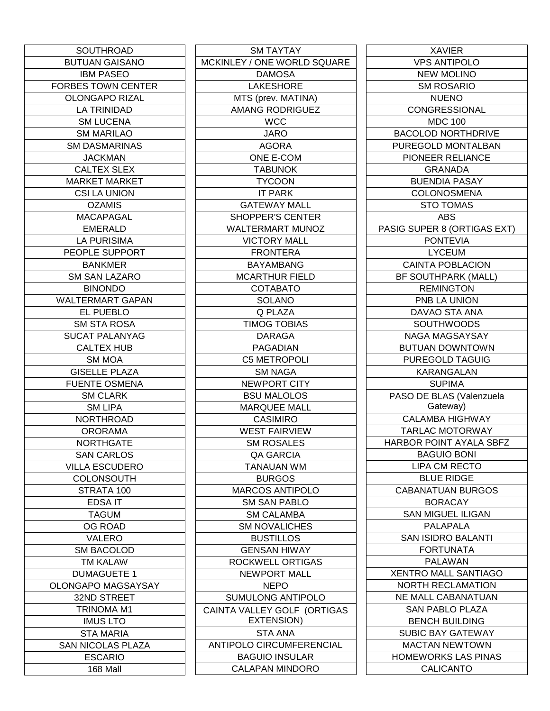| SOUTHROAD                 |
|---------------------------|
| <b>BUTUAN GAISANO</b>     |
| <b>IBM PASEO</b>          |
| <b>FORBES TOWN CENTER</b> |
| <b>OLONGAPO RIZAL</b>     |
| LA TRINIDAD               |
| <b>SM LUCENA</b>          |
| <b>SM MARILAO</b>         |
| SM DASMARINAS             |
| <b>JACKMAN</b>            |
| <b>CALTEX SLEX</b>        |
| <b>MARKET MARKET</b>      |
| <b>CSI LA UNION</b>       |
| OZAMIS                    |
| MACAPAGAL                 |
| <b>EMERALD</b>            |
| LA PURISIMA               |
| PEOPLE SUPPORT            |
| <b>BANKMER</b>            |
| <b>SM SAN LAZARO</b>      |
| <b>BINONDO</b>            |
| <b>WALTERMART GAPAN</b>   |
| EL PUEBLO                 |
| SM STA ROSA               |
| <b>SUCAT PALANYAG</b>     |
| CALTEX HUB                |
| <b>SM MOA</b>             |
| <b>GISELLE PLAZA</b>      |
| FUENTE OSMENA             |
| <b>SM CLARK</b>           |
| <b>SM LIPA</b>            |
| <b>NORTHROAD</b>          |
| ORORAMA                   |
| NORTHGATE                 |
| <b>SAN CARLOS</b>         |
| <b>VILLA ESCUDERO</b>     |
| COLONSOUTH                |
| STRATA 100                |
| <b>EDSAIT</b>             |
| <b>TAGUM</b>              |
| <b>OG ROAD</b>            |
| VALERO                    |
| <b>SM BACOLOD</b>         |
| <b>TM KALAW</b>           |
| <b>DUMAGUETE 1</b>        |
| OLONGAPO MAGSAYSAY        |
| 32ND STREET               |
| TRINOMA M1                |
| <b>IMUS LTO</b>           |
| STA MARIA                 |
| <b>SAN NICOLAS PLAZA</b>  |
| <b>ESCARIO</b>            |
| 168 Mall                  |
|                           |

| <b>SM TAYTAY</b>                |
|---------------------------------|
| MCKINLEY / ONE WORLD SQUARE     |
| DAMOSA                          |
| <b>LAKESHORE</b>                |
| MTS (prev. MATINA)              |
| <b>AMANG RODRIGUEZ</b>          |
| <b>WCC</b>                      |
| <b>JARO</b>                     |
| <b>AGORA</b>                    |
| ONE E-COM                       |
|                                 |
| TABUNOK                         |
| <b>TYCOON</b>                   |
| IT PARK                         |
| <b>GATEWAY MALL</b>             |
| <b>SHOPPER'S CENTER</b>         |
| <b>WALTERMART MUNOZ</b>         |
| <b>VICTORY MALL</b>             |
| FRONTERA                        |
| <b>BAYAMBANG</b>                |
| <b>MCARTHUR FIELD</b>           |
| COTABATO                        |
| SOLANO                          |
| Q PLAZA                         |
| <b>TIMOG TOBIAS</b>             |
| <b>DARAGA</b>                   |
| PAGADIAN                        |
|                                 |
| C5 METROPOLI                    |
| SM NAGA                         |
| <b>NEWPORT CITY</b>             |
| <b>BSU MALOLOS</b>              |
| <b>MARQUEE MALL</b>             |
| CASIMIRO                        |
| <b>WEST FAIRVIEW</b>            |
| <b>SM ROSALES</b>               |
| QA GARCIA                       |
| <b>TANAUAN WM</b>               |
| BURGOS                          |
| <b>MARCOS ANTIPOLO</b>          |
| <b>SM SAN PABLO</b>             |
| <b>SM CALAMBA</b>               |
| <b>SM NOVALICHES</b>            |
| <b>BUSTILLOS</b>                |
| <b>GENSAN HIWAY</b>             |
|                                 |
| ROCKWELL ORTIGAS                |
| NEWPORT MALL                    |
| NEPO                            |
| SUMULONG ANTIPOLO               |
| CAINTA VALLEY GOLF (ORTIGAS     |
| <b>EXTENSION)</b>               |
| STA ANA                         |
| <b>ANTIPOLO CIRCUMFERENCIAL</b> |
| <b>BAGUIO INSULAR</b>           |
| <b>CALAPAN MINDORO</b>          |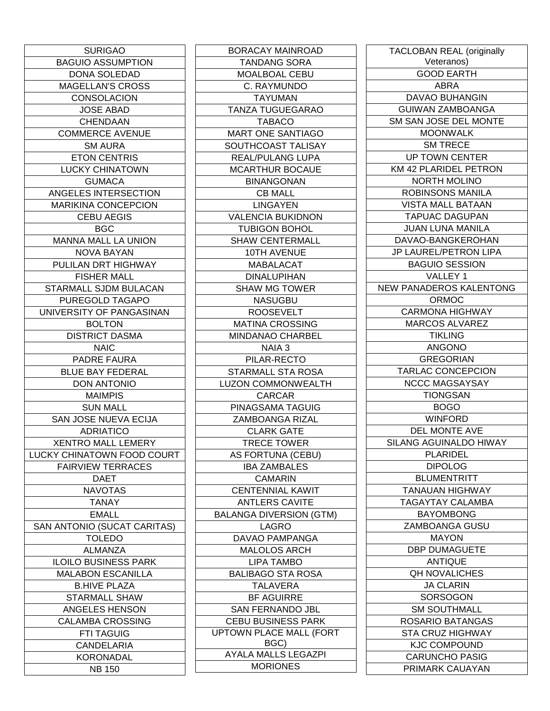| <b>SURIGAO</b>              |
|-----------------------------|
| <b>BAGUIO ASSUMPTION</b>    |
| DONA SOLEDAD                |
| <b>MAGELLAN'S CROSS</b>     |
| CONSOLACION                 |
| <b>JOSE ABAD</b>            |
| CHENDAAN                    |
| COMMERCE AVENUE             |
| SM AURA                     |
| <b>ETON CENTRIS</b>         |
| <b>LUCKY CHINATOWN</b>      |
| <b>GUMACA</b>               |
| ANGELES INTERSECTION        |
| <b>MARIKINA CONCEPCION</b>  |
| <b>CEBU AEGIS</b>           |
| BGC                         |
| <b>MANNA MALL LA UNION</b>  |
| NOVA BAYAN                  |
| PULILAN DRT HIGHWAY         |
| <b>FISHER MALL</b>          |
| STARMALL SJDM BULACAN       |
| PUREGOLD TAGAPO             |
| UNIVERSITY OF PANGASINAN    |
| <b>BOLTON</b>               |
| <b>DISTRICT DASMA</b>       |
| <b>NAIC</b>                 |
| PADRE FAURA                 |
| <b>BLUE BAY FEDERAL</b>     |
| <b>DON ANTONIO</b>          |
| MAIMPIS                     |
| <b>SUN MALL</b>             |
| SAN JOSE NUEVA ECIJA        |
| <b>ADRIATICO</b>            |
| <b>XENTRO MALL LEMERY</b>   |
| LUCKY CHINATOWN FOOD COURT  |
| <b>FAIRVIEW TERRACES</b>    |
| <b>DAET</b>                 |
| <b>NAVOTAS</b>              |
| <b>TANAY</b>                |
| <b>EMALL</b>                |
| SAN ANTONIO (SUCAT CARITAS) |
| TOLEDO                      |
| ALMANZA                     |
| ILOILO BUSINESS PARK        |
| <b>MALABON ESCANILLA</b>    |
| B.HIVE PLAZA                |
| STARMALL SHAW               |
| ANGELES HENSON              |
| <b>CALAMBA CROSSING</b>     |
| <b>FTI TAGUIG</b>           |
| CANDELARIA                  |
| KORONADAL                   |
| <b>NB 150</b>               |

BORACAY MAINROAD TANDANG SORA MOALBOAL CEBU C. RAYMUNDO TAYUMAN TANZA TUGUEGARAO TABACO MART ONE SANTIAGO SOUTHCOAST TALISAY REAL/PULANG LUPA MCARTHUR BOCAUE BINANGONAN CB MALL **LINGAYEN** VALENCIA BUKIDNON TUBIGON BOHOL SHAW CENTERMALL 10TH AVENUE MABALACAT DINALUPIHAN SHAW MG TOWER NASUGBU ROOSEVELT MATINA CROSSING MINDANAO CHARBEL NAIA 3 PILAR-RECTO STARMALL STA ROSA LUZON COMMONWEALTH CARCAR PINAGSAMA TAGUIG ZAMBOANGA RIZAL CLARK GATE TRECE TOWER AS FORTUNA (CEBU) IBA ZAMBALES CAMARIN CENTENNIAL KAWIT ANTLERS CAVITE BALANGA DIVERSION (GTM) LAGRO DAVAO PAMPANGA MALOLOS ARCH LIPA TAMBO BALIBAGO STA ROSA TALAVERA BF AGUIRRE SAN FERNANDO JBL CEBU BUSINESS PARK UPTOWN PLACE MALL (FORT BGC) AYALA MALLS LEGAZPI MORIONES

| <b>TACLOBAN REAL (originally</b> |
|----------------------------------|
| Veteranos)                       |
| <b>GOOD EARTH</b>                |
| <b>ABRA</b>                      |
| <b>DAVAO BUHANGIN</b>            |
| <b>GUIWAN ZAMBOANGA</b>          |
| SM SAN JOSE DEL MONTE            |
| <b>MOONWALK</b>                  |
| <b>SM TRECE</b>                  |
| <b>UP TOWN CENTER</b>            |
| KM 42 PLARIDEL PETRON            |
| <b>NORTH MOLINO</b>              |
| ROBINSONS MANILA                 |
| <b>VISTA MALL BATAAN</b>         |
| <b>TAPUAC DAGUPAN</b>            |
| <b>JUAN LUNA MANILA</b>          |
| DAVAO-BANGKEROHAN                |
| JP LAUREL/PETRON LIPA            |
| <b>BAGUIO SESSION</b>            |
| VALLEY 1                         |
| NEW PANADEROS KALENTONG          |
| ORMOC                            |
| <b>CARMONA HIGHWAY</b>           |
| <b>MARCOS ALVAREZ</b>            |
| TIKLING                          |
| <b>ANGONO</b>                    |
| <b>GREGORIAN</b>                 |
| <b>TARLAC CONCEPCION</b>         |
| NCCC MAGSAYSAY                   |
| TIONGSAN                         |
| <b>BOGO</b>                      |
| <b>WINFORD</b>                   |
| DEL MONTE AVE                    |
| SILANG AGUINALDO HIWAY           |
| <b>PLARIDEL</b>                  |
| <b>DIPOLOG</b>                   |
| <b>BLUMENTRITT</b>               |
| TANAUAN HIGHWAY                  |
| <b>TAGAYTAY CALAMBA</b>          |
| <b>BAYOMBONG</b>                 |
| ZAMBOANGA GUSU                   |
| MAYON                            |
| <b>DBP DUMAGUETE</b>             |
| <b>ANTIQUE</b>                   |
| <b>QH NOVALICHES</b>             |
| <b>JA CLARIN</b>                 |
| SORSOGON                         |
| <b>SM SOUTHMALL</b>              |
| ROSARIO BATANGAS                 |
| STA CRUZ HIGHWAY                 |
| <b>KJC COMPOUND</b>              |
| <b>CARUNCHO PASIG</b>            |
| PRIMARK CAUAYAN                  |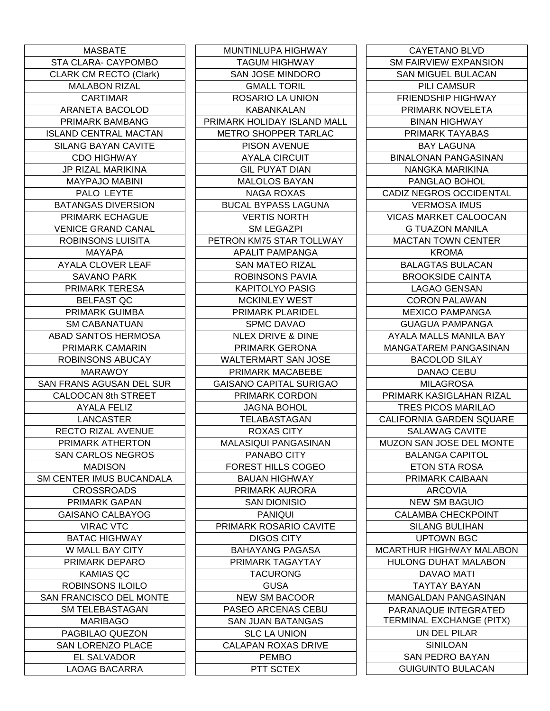| MASBATE                       |
|-------------------------------|
| STA CLARA- CAYPOMBO           |
| <b>CLARK CM RECTO (Clark)</b> |
| <b>MALABON RIZAL</b>          |
| <b>CARTIMAR</b>               |
| ARANETA BACOLOD               |
| PRIMARK BAMBANG               |
| ISLAND CENTRAL MACTAN         |
| <b>SILANG BAYAN CAVITE</b>    |
| <b>CDO HIGHWAY</b>            |
| JP RIZAL MARIKINA             |
| <b>MAYPAJO MABINI</b>         |
| PALO LEYTE                    |
| <b>BATANGAS DIVERSION</b>     |
|                               |
| PRIMARK ECHAGUE               |
| <b>VENICE GRAND CANAL</b>     |
| <b>ROBINSONS LUISITA</b>      |
| <b>MAYAPA</b>                 |
| <b>AYALA CLOVER LEAF</b>      |
| <b>SAVANO PARK</b>            |
| <b>PRIMARK TERESA</b>         |
| BELFAST QC                    |
| <b>PRIMARK GUIMBA</b>         |
| <b>SM CABANATUAN</b>          |
| <b>ABAD SANTOS HERMOSA</b>    |
| PRIMARK CAMARIN               |
| ROBINSONS ABUCAY              |
| MARAWOY.                      |
| SAN FRANS AGUSAN DEL SUR      |
| <b>CALOOCAN 8th STREET</b>    |
| AYALA FELIZ                   |
| LANCASTER                     |
| RECTO RIZAL AVENUE            |
| PRIMARK ATHERTON              |
| <b>SAN CARLOS NEGROS</b>      |
| MADISON                       |
| SM CENTER IMUS BUCANDALA      |
| <b>CROSSROADS</b>             |
| PRIMARK GAPAN                 |
| <b>GAISANO CALBAYOG</b>       |
| <b>VIRAC VTC</b>              |
| <b>BATAC HIGHWAY</b>          |
| W MALL BAY CITY               |
|                               |
| PRIMARK DEPARO                |
| KAMIAS QC                     |
| ROBINSONS ILOILO              |
| SAN FRANCISCO DEL MONTE       |
| <b>SM TELEBASTAGAN</b>        |
| <b>MARIBAGO</b>               |
| PAGBILAO QUEZON               |
| SAN LORENZO PLACE             |
| EL SALVADOR                   |
| <b>LAOAG BACARRA</b>          |

MUNTINLUPA HIGHWAY TAGUM HIGHWAY SAN JOSE MINDORO GMALL TORIL ROSARIO LA UNION KABANKALAN PRIMARK HOLIDAY ISLAND MALL METRO SHOPPER TARLAC PISON AVENUE AYALA CIRCUIT GIL PUYAT DIAN MALOLOS BAYAN NAGA ROXAS BUCAL BYPASS LAGUNA VERTIS NORTH SM LEGAZPI PETRON KM75 STAR TOLLWAY APALIT PAMPANGA SAN MATEO RIZAL ROBINSONS PAVIA KAPITOLYO PASIG MCKINLEY WEST PRIMARK PLARIDEL SPMC DAVAO NLEX DRIVE & DINE PRIMARK GERONA WALTERMART SAN JOSE PRIMARK MACABEBE GAISANO CAPITAL SURIGAO PRIMARK CORDON JAGNA BOHOL TELABASTAGAN ROXAS CITY MALASIQUI PANGASINAN PANABO CITY FOREST HILLS COGEO BAUAN HIGHWAY PRIMARK AURORA SAN DIONISIO PANIQUI PRIMARK ROSARIO CAVITE DIGOS CITY BAHAYANG PAGASA PRIMARK TAGAYTAY TACURONG GUSA NEW SM BACOOR PASEO ARCENAS CEBU SAN JUAN BATANGAS SLC LA UNION CALAPAN ROXAS DRIVE PEMBO PTT SCTEX

| <b>CAYETANO BLVD</b>            |
|---------------------------------|
| <b>SM FAIRVIEW EXPANSION</b>    |
| SAN MIGUEL BULACAN              |
| <b>PILI CAMSUR</b>              |
| <b>FRIENDSHIP HIGHWAY</b>       |
| PRIMARK NOVELETA                |
| <b>BINAN HIGHWAY</b>            |
| PRIMARK TAYABAS                 |
| <b>BAY LAGUNA</b>               |
| <b>BINALONAN PANGASINAN</b>     |
| NANGKA MARIKINA                 |
| PANGLAO BOHOL                   |
| CADIZ NEGROS OCCIDENTAL         |
|                                 |
| <b>VERMOSA IMUS</b>             |
| <b>VICAS MARKET CALOOCAN</b>    |
| G TUAZON MANILA                 |
| <b>MACTAN TOWN CENTER</b>       |
| KROMA                           |
| <b>BALAGTAS BULACAN</b>         |
| BROOKSIDE CAINTA                |
| LAGAO GENSAN                    |
| CORON PALAWAN                   |
| <b>MEXICO PAMPANGA</b>          |
| <b>GUAGUA PAMPANGA</b>          |
| AYALA MALLS MANILA BAY          |
| MANGATAREM PANGASINAN           |
| <b>BACOLOD SILAY</b>            |
| DANAO CEBU                      |
| MILAGROSA                       |
| PRIMARK KASIGLAHAN RIZAL        |
| <b>TRES PICOS MARILAO</b>       |
| <b>CALIFORNIA GARDEN SQUARE</b> |
| <b>SALAWAG CAVITE</b>           |
| MUZON SAN JOSE DEL MONTE        |
| <b>BALANGA CAPITOL</b>          |
| <b>ETON STA ROSA</b>            |
| PRIMARK CAIBAAN                 |
| <b>ARCOVIA</b>                  |
| <b>NEW SM BAGUIO</b>            |
|                                 |
| <b>CALAMBA CHECKPOINT</b>       |
| <b>SILANG BULIHAN</b>           |
| <b>UPTOWN BGC</b>               |
| MCARTHUR HIGHWAY MALABON        |
| <b>HULONG DUHAT MALABON</b>     |
| DAVAO MATI                      |
| TAYTAY BAYAN                    |
| MANGALDAN PANGASINAN            |
| PARANAQUE INTEGRATED            |
| TERMINAL EXCHANGE (PITX)        |
| UN DEL PILAR                    |
| SINILOAN                        |
| <b>SAN PEDRO BAYAN</b>          |
| <b>GUIGUINTO BULACAN</b>        |